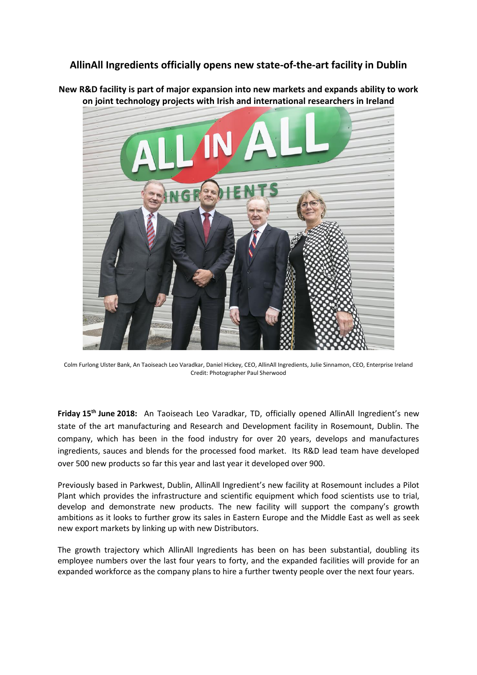## **AllinAll Ingredients officially opens new state-of-the-art facility in Dublin**

**New R&D facility is part of major expansion into new markets and expands ability to work on joint technology projects with Irish and international researchers in Ireland**



Colm Furlong Ulster Bank, An Taoiseach Leo Varadkar, Daniel Hickey, CEO, AllinAll Ingredients, Julie Sinnamon, CEO, Enterprise Ireland Credit: Photographer Paul Sherwood

**Friday 15th June 2018:** An Taoiseach Leo Varadkar, TD, officially opened AllinAll Ingredient's new state of the art manufacturing and Research and Development facility in Rosemount, Dublin. The company, which has been in the food industry for over 20 years, develops and manufactures ingredients, sauces and blends for the processed food market. Its R&D lead team have developed over 500 new products so far this year and last year it developed over 900.

Previously based in Parkwest, Dublin, AllinAll Ingredient's new facility at Rosemount includes a Pilot Plant which provides the infrastructure and scientific equipment which food scientists use to trial, develop and demonstrate new products. The new facility will support the company's growth ambitions as it looks to further grow its sales in Eastern Europe and the Middle East as well as seek new export markets by linking up with new Distributors.

The growth trajectory which AllinAll Ingredients has been on has been substantial, doubling its employee numbers over the last four years to forty, and the expanded facilities will provide for an expanded workforce as the company plans to hire a further twenty people over the next four years.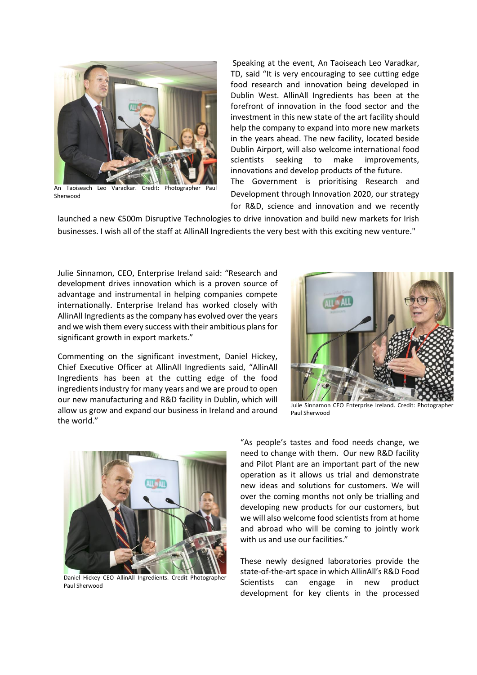

An Taoiseach Leo Varadkar. Credit: Photographer Paul Sherwood

Speaking at the event, An Taoiseach Leo Varadkar, TD, said "It is very encouraging to see cutting edge food research and innovation being developed in Dublin West. AllinAll Ingredients has been at the forefront of innovation in the food sector and the investment in this new state of the art facility should help the company to expand into more new markets in the years ahead. The new facility, located beside Dublin Airport, will also welcome international food scientists seeking to make improvements, innovations and develop products of the future. The Government is prioritising Research and Development through Innovation 2020, our strategy

for R&D, science and innovation and we recently

launched a new €500m Disruptive Technologies to drive innovation and build new markets for Irish businesses. I wish all of the staff at AllinAll Ingredients the very best with this exciting new venture."

Julie Sinnamon, CEO, Enterprise Ireland said: "Research and development drives innovation which is a proven source of advantage and instrumental in helping companies compete internationally. Enterprise Ireland has worked closely with AllinAll Ingredients as the company has evolved over the years and we wish them every success with their ambitious plans for significant growth in export markets."

Commenting on the significant investment, Daniel Hickey, Chief Executive Officer at AllinAll Ingredients said, "AllinAll Ingredients has been at the cutting edge of the food ingredients industry for many years and we are proud to open our new manufacturing and R&D facility in Dublin, which will allow us grow and expand our business in Ireland and around the world."



Julie Sinnamon CEO Enterprise Ireland. Credit: Photographer Paul Sherwood



Daniel Hickey CEO AllinAll Ingredients. Credit Photographer Paul Sherwood

"As people's tastes and food needs change, we need to change with them. Our new R&D facility and Pilot Plant are an important part of the new operation as it allows us trial and demonstrate new ideas and solutions for customers. We will over the coming months not only be trialling and developing new products for our customers, but we will also welcome food scientists from at home and abroad who will be coming to jointly work with us and use our facilities."

These newly designed laboratories provide the state-of-the-art space in which AllinAll's R&D Food Scientists can engage in new product development for key clients in the processed